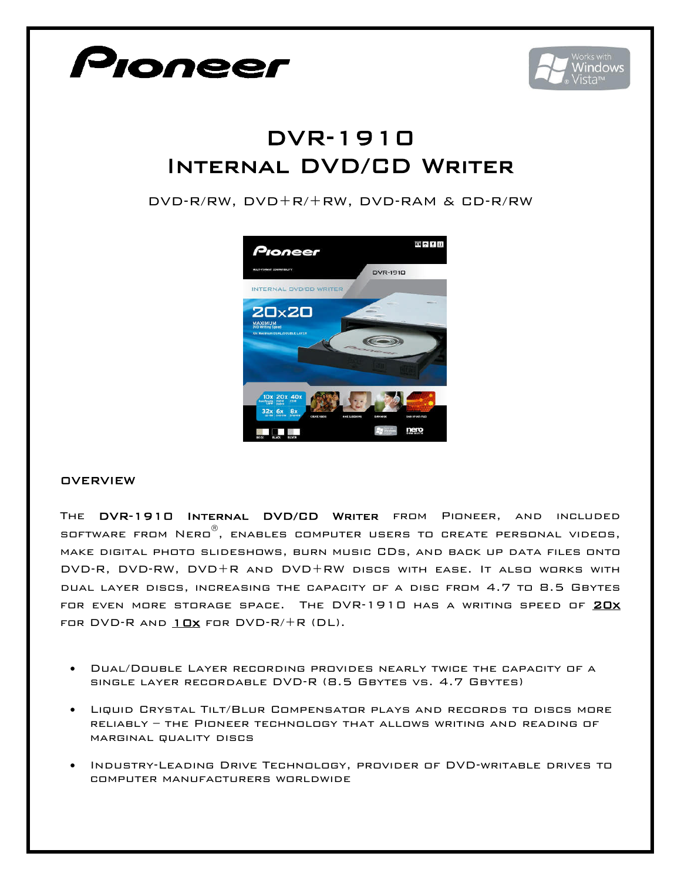

## **OVERVIEW**

The DVR-1910 Internal DVD/CD Writer from Pioneer, and included software from Nero , enables computer users to create personal videos, make digital photo slideshows, burn music CDs, and back up data files onto DVD-R, DVD-RW, DVD+R and DVD+RW discs with ease. It also works with dual layer discs, increasing the capacity of a disc from 4.7 to 8.5 Gbytes FOR EVEN MORE STORAGE SPACE. THE DVR-1910 HAS A WRITING SPEED OF 20X FOR DVD-R AND  $10x$  for DVD-R/ $+$ R (DL).

- Dual/Double Layer recording provides nearly twice the capacity of a single layer recordable DVD-R (8.5 Gbytes vs. 4.7 Gbytes)
- Liquid Crystal Tilt/Blur Compensator plays and records to discs more reliably – the Pioneer technology that allows writing and reading of marginal quality discs
- Industry-Leading Drive Technology, provider of DVD-writable drives to computer manufacturers worldwide